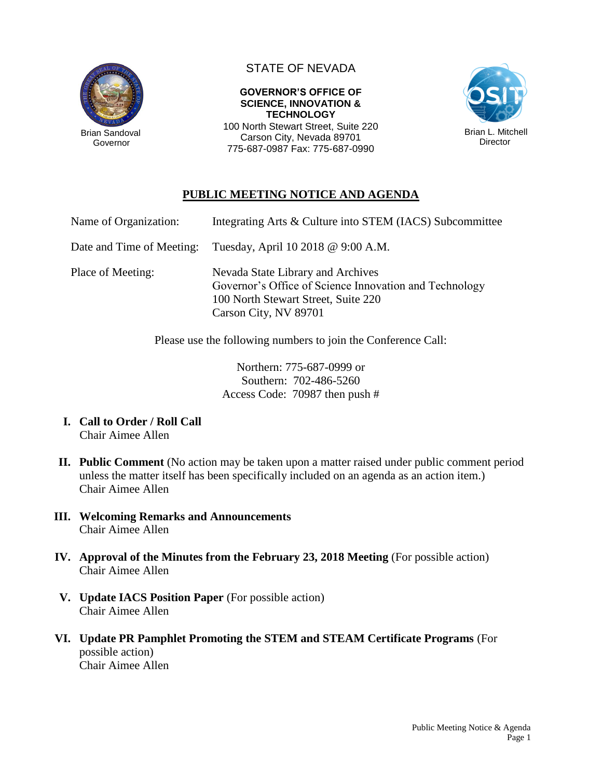

Governor

## STATE OF NEVADA

**GOVERNOR'S OFFICE OF SCIENCE, INNOVATION & TECHNOLOGY** 100 North Stewart Street, Suite 220

Carson City, Nevada 89701 775-687-0987 Fax: 775-687-0990



## **PUBLIC MEETING NOTICE AND AGENDA**

| Name of Organization:     | Integrating Arts & Culture into STEM (IACS) Subcommittee                                                                                                    |
|---------------------------|-------------------------------------------------------------------------------------------------------------------------------------------------------------|
| Date and Time of Meeting: | Tuesday, April 10 2018 @ 9:00 A.M.                                                                                                                          |
| Place of Meeting:         | Nevada State Library and Archives<br>Governor's Office of Science Innovation and Technology<br>100 North Stewart Street, Suite 220<br>Carson City, NV 89701 |

Please use the following numbers to join the Conference Call:

Northern: 775-687-0999 or Southern: 702-486-5260 Access Code: 70987 then push #

- **I. Call to Order / Roll Call** Chair Aimee Allen
- **II. Public Comment** (No action may be taken upon a matter raised under public comment period unless the matter itself has been specifically included on an agenda as an action item.) Chair Aimee Allen
- **III. Welcoming Remarks and Announcements** Chair Aimee Allen
- **IV. Approval of the Minutes from the February 23, 2018 Meeting** (For possible action) Chair Aimee Allen
- **V. Update IACS Position Paper** (For possible action) Chair Aimee Allen
- **VI. Update PR Pamphlet Promoting the STEM and STEAM Certificate Programs** (For possible action) Chair Aimee Allen